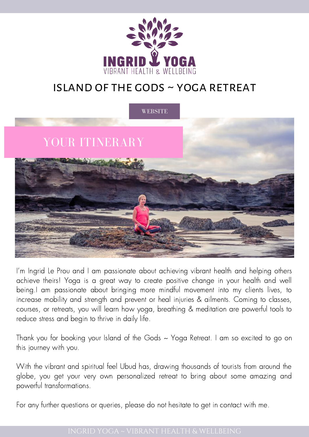

## island of the gods ~ yoga retreat



I'm Ingrid Le Prou and I am passionate about achieving vibrant health and helping others achieve theirs! Yoga is a great way to create positive change in your health and well being.I am passionate about bringing more mindful movement into my clients lives, to increase mobility and strength and prevent or heal injuries & ailments. Coming to classes, courses, or retreats, you will learn how yoga, breathing & meditation are powerful tools to reduce stress and begin to thrive in daily life.

Thank you for booking your Island of the Gods ~ Yoga Retreat. I am so excited to go on this journey with you.

With the vibrant and spiritual feel Ubud has, drawing thousands of tourists from around the globe, you get your very own personalized retreat to bring about some amazing and powerful transformations.

For any further questions or queries, please do not hesitate to get in contact with me.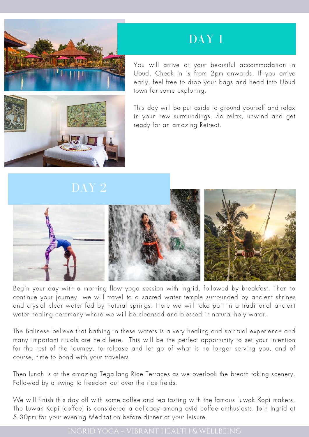

### SOCIAL MEDIA DAY 1

You will arrive at your beautiful accommodation in Ubud. Check in is from 2pm onwards. If you arrive early, feel free to drop your bags and head into Ubud town for some exploring.

This day will be put aside to ground yourself and relax in your new surroundings. So relax, unwind and get ready for an amazing Retreat.





Begin your day with a morning flow yoga session with Ingrid, followed by breakfast. Then to continue your journey, we will travel to a sacred water temple surrounded by ancient shrines and crystal clear water fed by natural springs. Here we will take part in a traditional ancient water healing ceremony where we will be cleansed and blessed in natural holy water.

The Balinese believe that bathing in these waters is a very healing and spiritual experience and many important rituals are held here. This will be the perfect opportunity to set your intention for the rest of the journey, to release and let go of what is no longer serving you, and of course, time to bond with your travelers.

Then lunch is at the amazing Tegallang Rice Terraces as we overlook the breath taking scenery. Followed by a swing to freedom out over the rice fields.

We will finish this day off with some coffee and tea tasting with the famous Luwak Kopi makers. The Luwak Kopi (coffee) is considered a delicacy among avid coffee enthusiasts. Join Ingrid at 5.30pm for your evening Meditation before dinner at your leisure.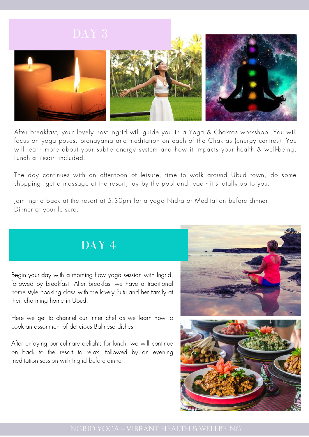

After breakfast, your lovely host Ingrid will guide you in a Yoga & Chakras workshop. You will focus on yoga poses, pranayama and meditation on each of the Chakras (energy centres). You will learn more about your subtle energy system and how it impacts your health & well-being. Lunch at resort included.

The day continues with an afternoon of leisure, time to walk around Ubud town, do some shopping, get a massage at the resort, lay by the pool and read - it's totally up to you.

Join Ingrid back at the resort at 5.30pm for a yoga Nidra or Meditation before dinner. Dinner at your leisure.

# DAY 4

MARKETING MATERIAL

Begin your day with a morning flow yoga session with Ingrid, followed by breakfast. After breakfast we have a traditional home style cooking class with the lovely Putu and her family at their charming home in Ubud.

Here we get to channel our inner chef as we learn how to cook an assortment of delicious Balinese dishes.

After enjoying our culinary delights for lunch, we will continue on back to the resort to relax, followed by an evening meditation session with Ingrid before dinner.



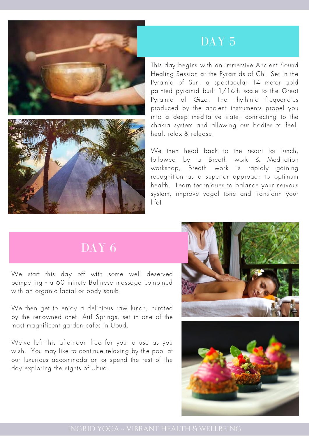



# DAY<sub>5</sub>

This day begins with an immersive Ancient Sound Healing Session at the Pyramids of Chi. Set in the Pyramid of Sun, a spectacular 14 meter gold painted pyramid built 1/16th scale to the Great Pyramid of Giza. The rhythmic frequencies produced by the ancient instruments propel you into a deep meditative state, connecting to the chakra system and allowing our bodies to feel, heal, relax & release.

We then head back to the resort for lunch, followed by a Breath work & Meditation workshop, Breath work is rapidly gaining recognition as a superior approach to optimum health. Learn techniques to balance your nervous system, improve vagal tone and transform your life!

# DAY<sub>6</sub>

We start this day off with some well deserved pampering - a 60 minute Balinese massage combined with an organic facial or body scrub.

We then get to enjoy a delicious raw lunch, curated by the renowned chef, Arif Springs, set in one of the most magnificent garden cafes in Ubud.

We've left this afternoon free for you to use as you wish. You may like to continue relaxing by the pool at our luxurious accommodation or spend the rest of the day exploring the sights of Ubud.



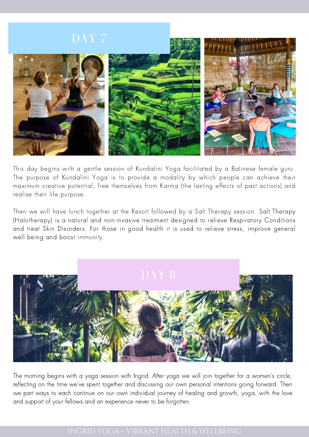

This day begins with a gentle session of Kundalini Yoga facilitated by a Balinese female guru. The purpose of Kundalini Yoga is to provide a modality by which people can achieve their maximum creative potential, free themselves from Karma (the lasting effects of past actions) and realise their life purpose.

Then we will have lunch together at the Resort followed by a Salt Therapy session. Salt Therapy (Halotherapy) is a natural and non-invasive treatment designed to relieve Respiratory Conditions and treat Skin Disorders. For those in good health it is used to relieve stress, improve general well being and boost immunity.



The morning begins with a yoga session with Ingrid. After yoga we will join together for a women's circle, reflecting on the time we've spent together and discussing our own personal intentions going forward. Then we part ways to each continue on our own individual journey of healing and growth, yoga, with the love and support of your fellows and an experience never to be forgotten.

#### INGRID YOGA ~ VIBRANT HEALTH & [WELLBEING](http://villagetaways.com/)